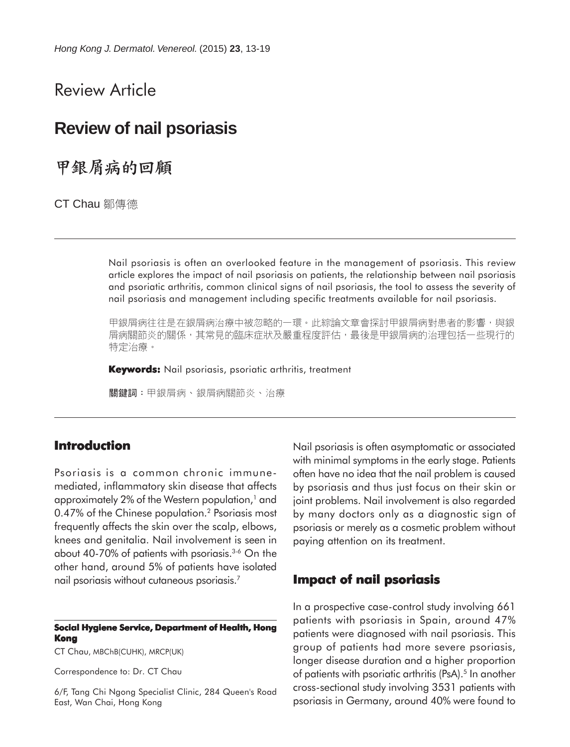# Review Article

# **Review of nail psoriasis**

甲銀屑病的回顧

CT Chau 鄒傳德

Nail psoriasis is often an overlooked feature in the management of psoriasis. This review article explores the impact of nail psoriasis on patients, the relationship between nail psoriasis and psoriatic arthritis, common clinical signs of nail psoriasis, the tool to assess the severity of nail psoriasis and management including specific treatments available for nail psoriasis.

甲銀屑病往往是在銀屑病治療中被忽略的一環。此綜論文章會探討甲銀屑病對患者的影響,與銀 屑病關節炎的關係,其常見的臨床症狀及嚴重程度評估,最後是甲銀屑病的治理包括一些現行的 特定治療。

**Keywords:** Nail psoriasis, psoriatic arthritis, treatment

關鍵詞:甲銀屑病、銀屑病關節炎、治療

# **Introduction**

Psoriasis is a common chronic immunemediated, inflammatory skin disease that affects approximately 2% of the Western population,<sup>1</sup> and 0.47% of the Chinese population.<sup>2</sup> Psoriasis most frequently affects the skin over the scalp, elbows, knees and genitalia. Nail involvement is seen in about 40-70% of patients with psoriasis.3-6 On the other hand, around 5% of patients have isolated nail psoriasis without cutaneous psoriasis.7

#### **Social Hygiene Service, Department of Health, Hong Kong**

CT Chau, MBChB(CUHK), MRCP(UK)

Correspondence to: Dr. CT Chau

6/F, Tang Chi Ngong Specialist Clinic, 284 Queen's Road East, Wan Chai, Hong Kong

Nail psoriasis is often asymptomatic or associated with minimal symptoms in the early stage. Patients often have no idea that the nail problem is caused by psoriasis and thus just focus on their skin or joint problems. Nail involvement is also regarded by many doctors only as a diagnostic sign of psoriasis or merely as a cosmetic problem without paying attention on its treatment.

### **Impact of nail psoriasis**

In a prospective case-control study involving 661 patients with psoriasis in Spain, around 47% patients were diagnosed with nail psoriasis. This group of patients had more severe psoriasis, longer disease duration and a higher proportion of patients with psoriatic arthritis (PsA).<sup>5</sup> In another cross-sectional study involving 3531 patients with psoriasis in Germany, around 40% were found to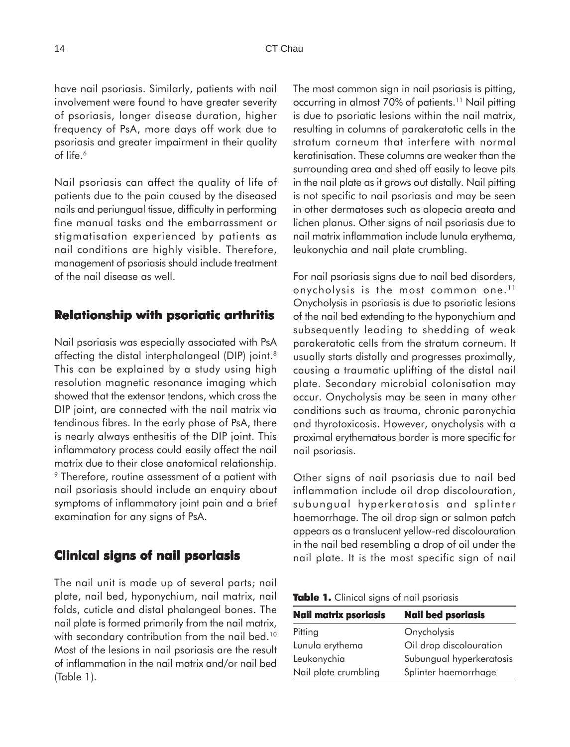have nail psoriasis. Similarly, patients with nail involvement were found to have greater severity of psoriasis, longer disease duration, higher frequency of PsA, more days off work due to psoriasis and greater impairment in their quality of life.<sup>6</sup>

Nail psoriasis can affect the quality of life of patients due to the pain caused by the diseased nails and periungual tissue, difficulty in performing fine manual tasks and the embarrassment or stigmatisation experienced by patients as nail conditions are highly visible. Therefore, management of psoriasis should include treatment of the nail disease as well.

### **Relationship with psoriatic arthritis**

Nail psoriasis was especially associated with PsA affecting the distal interphalangeal (DIP) joint.<sup>8</sup> This can be explained by a study using high resolution magnetic resonance imaging which showed that the extensor tendons, which cross the DIP joint, are connected with the nail matrix via tendinous fibres. In the early phase of PsA, there is nearly always enthesitis of the DIP joint. This inflammatory process could easily affect the nail matrix due to their close anatomical relationship. <sup>9</sup> Therefore, routine assessment of a patient with nail psoriasis should include an enquiry about symptoms of inflammatory joint pain and a brief examination for any signs of PsA.

# **Clinical signs of nail psoriasis**

The nail unit is made up of several parts; nail plate, nail bed, hyponychium, nail matrix, nail folds, cuticle and distal phalangeal bones. The nail plate is formed primarily from the nail matrix, with secondary contribution from the nail bed.<sup>10</sup> Most of the lesions in nail psoriasis are the result of inflammation in the nail matrix and/or nail bed (Table 1).

The most common sign in nail psoriasis is pitting, occurring in almost 70% of patients.<sup>11</sup> Nail pitting is due to psoriatic lesions within the nail matrix, resulting in columns of parakeratotic cells in the stratum corneum that interfere with normal keratinisation. These columns are weaker than the surrounding area and shed off easily to leave pits in the nail plate as it grows out distally. Nail pitting is not specific to nail psoriasis and may be seen in other dermatoses such as alopecia areata and lichen planus. Other signs of nail psoriasis due to nail matrix inflammation include lunula erythema, leukonychia and nail plate crumbling.

For nail psoriasis signs due to nail bed disorders, onycholysis is the most common one.<sup>11</sup> Onycholysis in psoriasis is due to psoriatic lesions of the nail bed extending to the hyponychium and subsequently leading to shedding of weak parakeratotic cells from the stratum corneum. It usually starts distally and progresses proximally, causing a traumatic uplifting of the distal nail plate. Secondary microbial colonisation may occur. Onycholysis may be seen in many other conditions such as trauma, chronic paronychia and thyrotoxicosis. However, onycholysis with a proximal erythematous border is more specific for nail psoriasis.

Other signs of nail psoriasis due to nail bed inflammation include oil drop discolouration, subungual hyperkeratosis and splinter haemorrhage. The oil drop sign or salmon patch appears as a translucent yellow-red discolouration in the nail bed resembling a drop of oil under the nail plate. It is the most specific sign of nail

| Table 1. Clinical signs of nail psoriasis |  |  |  |
|-------------------------------------------|--|--|--|
|-------------------------------------------|--|--|--|

| <b>Nail matrix psoriasis</b> | <b>Nail bed psoriasis</b> |  |  |
|------------------------------|---------------------------|--|--|
| Pitting                      | Onycholysis               |  |  |
| Lunula erythema              | Oil drop discolouration   |  |  |
| Leukonychia                  | Subungual hyperkeratosis  |  |  |
| Nail plate crumbling         | Splinter haemorrhage      |  |  |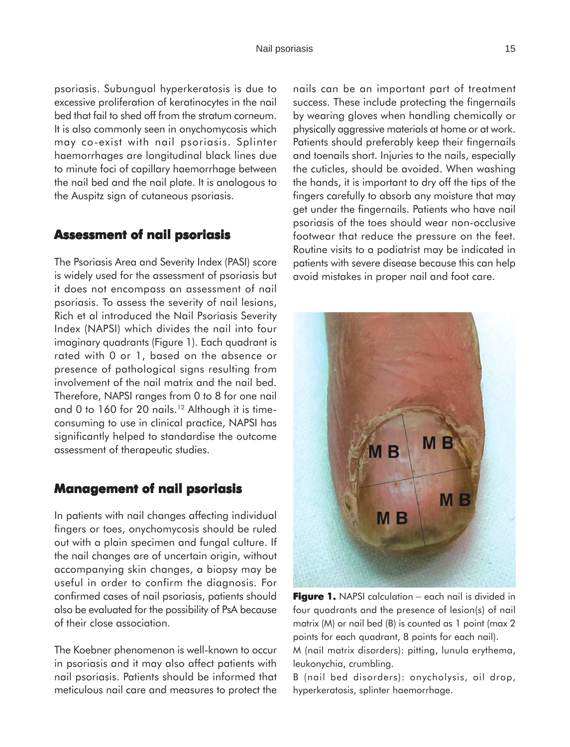psoriasis. Subungual hyperkeratosis is due to excessive proliferation of keratinocytes in the nail bed that fail to shed off from the stratum corneum. It is also commonly seen in onychomycosis which may co-exist with nail psoriasis. Splinter haemorrhages are longitudinal black lines due to minute foci of capillary haemorrhage between the nail bed and the nail plate. It is analogous to the Auspitz sign of cutaneous psoriasis.

### **Assessment of nail psoriasis**

The Psoriasis Area and Severity Index (PASI) score is widely used for the assessment of psoriasis but it does not encompass an assessment of nail psoriasis. To assess the severity of nail lesions, Rich et al introduced the Nail Psoriasis Severity Index (NAPSI) which divides the nail into four imaginary quadrants (Figure 1). Each quadrant is rated with 0 or 1, based on the absence or presence of pathological signs resulting from involvement of the nail matrix and the nail bed. Therefore, NAPSI ranges from 0 to 8 for one nail and 0 to 160 for 20 nails.<sup>12</sup> Although it is timeconsuming to use in clinical practice, NAPSI has significantly helped to standardise the outcome assessment of therapeutic studies.

### **Management of nail psoriasis**

In patients with nail changes affecting individual fingers or toes, onychomycosis should be ruled out with a plain specimen and fungal culture. If the nail changes are of uncertain origin, without accompanying skin changes, a biopsy may be useful in order to confirm the diagnosis. For confirmed cases of nail psoriasis, patients should also be evaluated for the possibility of PsA because of their close association.

The Koebner phenomenon is well-known to occur in psoriasis and it may also affect patients with nail psoriasis. Patients should be informed that meticulous nail care and measures to protect the

nails can be an important part of treatment success. These include protecting the fingernails by wearing gloves when handling chemically or physically aggressive materials at home or at work. Patients should preferably keep their fingernails and toenails short. Injuries to the nails, especially the cuticles, should be avoided. When washing the hands, it is important to dry off the tips of the fingers carefully to absorb any moisture that may get under the fingernails. Patients who have nail psoriasis of the toes should wear non-occlusive footwear that reduce the pressure on the feet. Routine visits to a podiatrist may be indicated in patients with severe disease because this can help avoid mistakes in proper nail and foot care.



**Figure 1.** NAPSI calculation − each nail is divided in four quadrants and the presence of lesion(s) of nail matrix (M) or nail bed (B) is counted as 1 point (max 2 points for each quadrant, 8 points for each nail).

M (nail matrix disorders): pitting, lunula erythema, leukonychia, crumbling.

B (nail bed disorders): onycholysis, oil drop, hyperkeratosis, splinter haemorrhage.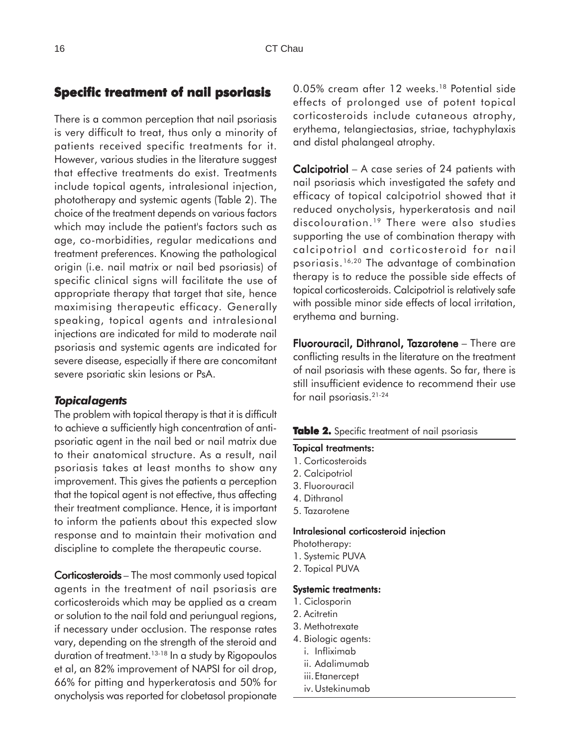# **Specific treatment of nail psoriasis**

There is a common perception that nail psoriasis is very difficult to treat, thus only a minority of patients received specific treatments for it. However, various studies in the literature suggest that effective treatments do exist. Treatments include topical agents, intralesional injection, phototherapy and systemic agents (Table 2). The choice of the treatment depends on various factors which may include the patient's factors such as age, co-morbidities, regular medications and treatment preferences. Knowing the pathological origin (i.e. nail matrix or nail bed psoriasis) of specific clinical signs will facilitate the use of appropriate therapy that target that site, hence maximising therapeutic efficacy. Generally speaking, topical agents and intralesional injections are indicated for mild to moderate nail psoriasis and systemic agents are indicated for severe disease, especially if there are concomitant severe psoriatic skin lesions or PsA.

#### *Topical agents*

The problem with topical therapy is that it is difficult to achieve a sufficiently high concentration of antipsoriatic agent in the nail bed or nail matrix due to their anatomical structure. As a result, nail psoriasis takes at least months to show any improvement. This gives the patients a perception that the topical agent is not effective, thus affecting their treatment compliance. Hence, it is important to inform the patients about this expected slow response and to maintain their motivation and discipline to complete the therapeutic course.

Corticosteroids – The most commonly used topical agents in the treatment of nail psoriasis are corticosteroids which may be applied as a cream or solution to the nail fold and periungual regions, if necessary under occlusion. The response rates vary, depending on the strength of the steroid and duration of treatment.13-18 In a study by Rigopoulos et al, an 82% improvement of NAPSI for oil drop, 66% for pitting and hyperkeratosis and 50% for onycholysis was reported for clobetasol propionate

0.05% cream after 12 weeks.<sup>18</sup> Potential side effects of prolonged use of potent topical corticosteroids include cutaneous atrophy, erythema, telangiectasias, striae, tachyphylaxis and distal phalangeal atrophy.

Calcipotriol - A case series of 24 patients with nail psoriasis which investigated the safety and efficacy of topical calcipotriol showed that it reduced onycholysis, hyperkeratosis and nail discolouration.<sup>19</sup> There were also studies supporting the use of combination therapy with calcipotriol and corticosteroid for nail psoriasis.16,20 The advantage of combination therapy is to reduce the possible side effects of topical corticosteroids. Calcipotriol is relatively safe with possible minor side effects of local irritation, erythema and burning.

Fluorouracil, Dithranol, Tazarotene - There are conflicting results in the literature on the treatment of nail psoriasis with these agents. So far, there is still insufficient evidence to recommend their use for nail psoriasis.21-24

#### Table 2. Specific treatment of nail psoriasis

#### **Topical treatments:**

- 1. Corticosteroids
- 2. Calcipotriol
- 3. Fluorouracil
- 4. Dithranol
- 5. Tazarotene

#### Intralesional corticosteroid injection

Phototherapy:

- 1. Systemic PUVA
- 2. Topical PUVA

#### Systemic treatments:

- 1. Ciclosporin
- 2. Acitretin
- 3. Methotrexate
- 4. Biologic agents:
	- i. Infliximab
	- ii. Adalimumab
	- iii.Etanercept
	- iv.Ustekinumab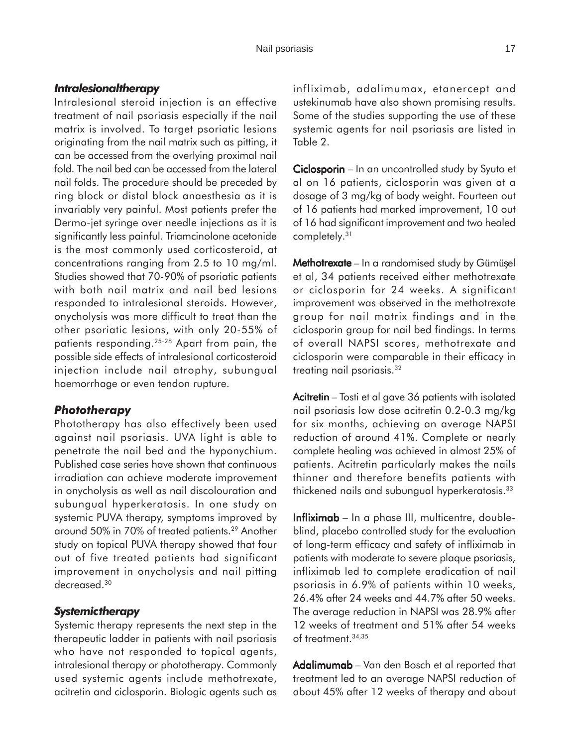### *Intralesional therapy*

Intralesional steroid injection is an effective treatment of nail psoriasis especially if the nail matrix is involved. To target psoriatic lesions originating from the nail matrix such as pitting, it can be accessed from the overlying proximal nail fold. The nail bed can be accessed from the lateral nail folds. The procedure should be preceded by ring block or distal block anaesthesia as it is invariably very painful. Most patients prefer the Dermo-jet syringe over needle injections as it is significantly less painful. Triamcinolone acetonide is the most commonly used corticosteroid, at concentrations ranging from 2.5 to 10 mg/ml. Studies showed that 70-90% of psoriatic patients with both nail matrix and nail bed lesions responded to intralesional steroids. However, onycholysis was more difficult to treat than the other psoriatic lesions, with only 20-55% of patients responding.25-28 Apart from pain, the possible side effects of intralesional corticosteroid injection include nail atrophy, subungual haemorrhage or even tendon rupture.

#### *Phototherapy*

Phototherapy has also effectively been used against nail psoriasis. UVA light is able to penetrate the nail bed and the hyponychium. Published case series have shown that continuous irradiation can achieve moderate improvement in onycholysis as well as nail discolouration and subungual hyperkeratosis. In one study on systemic PUVA therapy, symptoms improved by around 50% in 70% of treated patients.29 Another study on topical PUVA therapy showed that four out of five treated patients had significant improvement in onycholysis and nail pitting decreased.<sup>30</sup>

#### *Systemic therapy*

Systemic therapy represents the next step in the therapeutic ladder in patients with nail psoriasis who have not responded to topical agents, intralesional therapy or phototherapy. Commonly used systemic agents include methotrexate, acitretin and ciclosporin. Biologic agents such as

infliximab, adalimumax, etanercept and ustekinumab have also shown promising results. Some of the studies supporting the use of these systemic agents for nail psoriasis are listed in Table 2.

Ciclosporin – In an uncontrolled study by Syuto et al on 16 patients, ciclosporin was given at a dosage of 3 mg/kg of body weight. Fourteen out of 16 patients had marked improvement, 10 out of 16 had significant improvement and two healed completely.31

Methotrexate – In a randomised study by Gümüşel et al, 34 patients received either methotrexate or ciclosporin for 24 weeks. A significant improvement was observed in the methotrexate group for nail matrix findings and in the ciclosporin group for nail bed findings. In terms of overall NAPSI scores, methotrexate and ciclosporin were comparable in their efficacy in treating nail psoriasis.<sup>32</sup>

Acitretin – Tosti et al gave 36 patients with isolated nail psoriasis low dose acitretin 0.2-0.3 mg/kg for six months, achieving an average NAPSI reduction of around 41%. Complete or nearly complete healing was achieved in almost 25% of patients. Acitretin particularly makes the nails thinner and therefore benefits patients with thickened nails and subungual hyperkeratosis.33

 $Infliximab - In a phase III, multicentre, double$ blind, placebo controlled study for the evaluation of long-term efficacy and safety of infliximab in patients with moderate to severe plaque psoriasis, infliximab led to complete eradication of nail psoriasis in 6.9% of patients within 10 weeks, 26.4% after 24 weeks and 44.7% after 50 weeks. The average reduction in NAPSI was 28.9% after 12 weeks of treatment and 51% after 54 weeks of treatment.34,35

Adalimumab – Van den Bosch et al reported that treatment led to an average NAPSI reduction of about 45% after 12 weeks of therapy and about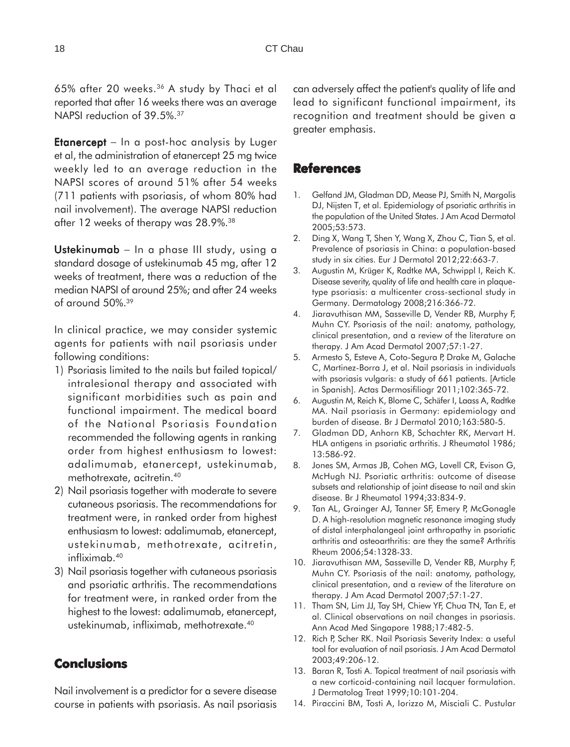65% after 20 weeks.36 A study by Thaci et al reported that after 16 weeks there was an average NAPSI reduction of 39.5%.37

**Etanercept** – In a post-hoc analysis by Luger et al, the administration of etanercept 25 mg twice weekly led to an average reduction in the NAPSI scores of around 51% after 54 weeks (711 patients with psoriasis, of whom 80% had nail involvement). The average NAPSI reduction after 12 weeks of therapy was 28.9%.<sup>38</sup>

Ustekinumab  $-$  In a phase III study, using a standard dosage of ustekinumab 45 mg, after 12 weeks of treatment, there was a reduction of the median NAPSI of around 25%; and after 24 weeks of around 50%.39

In clinical practice, we may consider systemic agents for patients with nail psoriasis under following conditions:

- 1) Psoriasis limited to the nails but failed topical/ intralesional therapy and associated with significant morbidities such as pain and functional impairment. The medical board of the National Psoriasis Foundation recommended the following agents in ranking order from highest enthusiasm to lowest: adalimumab, etanercept, ustekinumab, methotrexate, acitretin.40
- 2) Nail psoriasis together with moderate to severe cutaneous psoriasis. The recommendations for treatment were, in ranked order from highest enthusiasm to lowest: adalimumab, etanercept, ustekinumab, methotrexate, acitretin, infliximab.40
- 3) Nail psoriasis together with cutaneous psoriasis and psoriatic arthritis. The recommendations for treatment were, in ranked order from the highest to the lowest: adalimumab, etanercept, ustekinumab, infliximab, methotrexate.40

# **Conclusions**

Nail involvement is a predictor for a severe disease course in patients with psoriasis. As nail psoriasis can adversely affect the patient's quality of life and lead to significant functional impairment, its recognition and treatment should be given a greater emphasis.

## **References**

- 1. Gelfand JM, Gladman DD, Mease PJ, Smith N, Margolis DJ, Nijsten T, et al. Epidemiology of psoriatic arthritis in the population of the United States. J Am Acad Dermatol 2005;53:573.
- 2. Ding X, Wang T, Shen Y, Wang X, Zhou C, Tian S, et al. Prevalence of psoriasis in China: a population-based study in six cities. Eur J Dermatol 2012;22:663-7.
- 3. Augustin M, Krüger K, Radtke MA, Schwippl I, Reich K. Disease severity, quality of life and health care in plaquetype psoriasis: a multicenter cross-sectional study in Germany. Dermatology 2008;216:366-72.
- 4. Jiaravuthisan MM, Sasseville D, Vender RB, Murphy F, Muhn CY. Psoriasis of the nail: anatomy, pathology, clinical presentation, and a review of the literature on therapy. J Am Acad Dermatol 2007;57:1-27.
- 5. Armesto S, Esteve A, Coto-Segura P, Drake M, Galache C, Martinez-Borra J, et al. Nail psoriasis in individuals with psoriasis vulgaris: a study of 661 patients. [Article in Spanish]. Actas Dermosifiliogr 2011;102:365-72.
- 6. Augustin M, Reich K, Blome C, Schäfer I, Laass A, Radtke MA. Nail psoriasis in Germany: epidemiology and burden of disease. Br J Dermatol 2010;163:580-5.
- 7. Gladman DD, Anhorn KB, Schachter RK, Mervart H. HLA antigens in psoriatic arthritis. J Rheumatol 1986; 13:586-92.
- 8. Jones SM, Armas JB, Cohen MG, Lovell CR, Evison G, McHugh NJ. Psoriatic arthritis: outcome of disease subsets and relationship of joint disease to nail and skin disease. Br J Rheumatol 1994;33:834-9.
- 9. Tan AL, Grainger AJ, Tanner SF, Emery P, McGonagle D. A high-resolution magnetic resonance imaging study of distal interphalangeal joint arthropathy in psoriatic arthritis and osteoarthritis: are they the same? Arthritis Rheum 2006;54:1328-33.
- 10. Jiaravuthisan MM, Sasseville D, Vender RB, Murphy F, Muhn CY. Psoriasis of the nail: anatomy, pathology, clinical presentation, and a review of the literature on therapy. J Am Acad Dermatol 2007;57:1-27.
- 11. Tham SN, Lim JJ, Tay SH, Chiew YF, Chua TN, Tan E, et al. Clinical observations on nail changes in psoriasis. Ann Acad Med Singapore 1988;17:482-5.
- 12. Rich P, Scher RK. Nail Psoriasis Severity Index: a useful tool for evaluation of nail psoriasis. J Am Acad Dermatol 2003;49:206-12.
- 13. Baran R, Tosti A. Topical treatment of nail psoriasis with a new corticoid-containing nail lacquer formulation. J Dermatolog Treat 1999;10:101-204.
- 14. Piraccini BM, Tosti A, Iorizzo M, Misciali C. Pustular